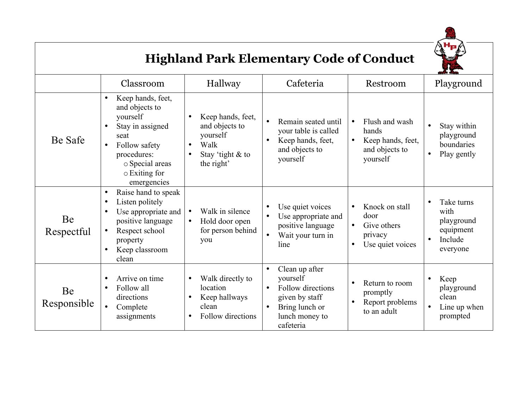

## **Highland Park Elementary Code of Conduct**

|                   | Classroom                                                                                                                                                                                | Hallway                                                                                   | Cafeteria                                                                                                                       | Restroom                                                                                       | Playground                                                                                     |
|-------------------|------------------------------------------------------------------------------------------------------------------------------------------------------------------------------------------|-------------------------------------------------------------------------------------------|---------------------------------------------------------------------------------------------------------------------------------|------------------------------------------------------------------------------------------------|------------------------------------------------------------------------------------------------|
| Be Safe           | Keep hands, feet,<br>$\bullet$<br>and objects to<br>yourself<br>Stay in assigned<br>$\bullet$<br>seat<br>Follow safety<br>procedures:<br>o Special areas<br>o Exiting for<br>emergencies | Keep hands, feet,<br>and objects to<br>yourself<br>Walk<br>Stay 'tight & to<br>the right' | Remain seated until<br>your table is called<br>Keep hands, feet,<br>and objects to<br>yourself                                  | Flush and wash<br>hands<br>Keep hands, feet,<br>$\bullet$<br>and objects to<br>yourself        | Stay within<br>$\bullet$<br>playground<br>boundaries<br>Play gently<br>$\bullet$               |
| Be<br>Respectful  | Raise hand to speak<br>$\bullet$<br>Listen politely<br>$\bullet$<br>Use appropriate and<br>$\bullet$<br>positive language<br>Respect school<br>property<br>Keep classroom<br>clean       | Walk in silence<br>$\bullet$<br>Hold door open<br>for person behind<br>you                | Use quiet voices<br>Use appropriate and<br>positive language<br>Wait your turn in<br>line                                       | Knock on stall<br>door<br>Give others<br>$\bullet$<br>privacy<br>Use quiet voices<br>$\bullet$ | Take turns<br>$\bullet$<br>with<br>playground<br>equipment<br>Include<br>$\bullet$<br>everyone |
| Be<br>Responsible | Arrive on time<br>$\bullet$<br>Follow all<br>$\bullet$<br>directions<br>Complete<br>$\bullet$<br>assignments                                                                             | Walk directly to<br>location<br>Keep hallways<br>clean<br>Follow directions               | Clean up after<br>yourself<br>Follow directions<br>$\bullet$<br>given by staff<br>Bring lunch or<br>lunch money to<br>cafeteria | Return to room<br>promptly<br>Report problems<br>to an adult                                   | Keep<br>$\bullet$<br>playground<br>clean<br>Line up when<br>$\bullet$<br>prompted              |